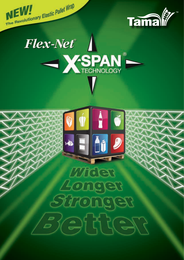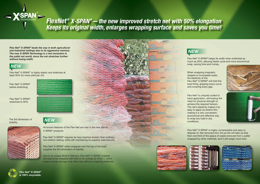Flex-Net<sup>®</sup> is uniquely suited to hand application, eliminating the need for physical strength to achieve the required tension. The net's elasticity makes it as easy to apply as stretch film, making it a very convenient, economical and effective way to wrap any load in any .conditions

Flex-Net<sup>®</sup> X-SPAN<sup>®</sup> is highly compressible and easy to dispose of. Net removed from the pa llet will take up less then one third of the space of waste removed from a pallet wrapped by other methods, and it will weigh much less.







Flex-Net<sup>®</sup> X-SPAN<sup>®</sup> keeps its width when stretched as much as 50%, allowing faster cycle and more economical wrap, saving time and money.

When wrapping irregularly shaped or incomplete loads, the elasticity of the Flex-Net<sup>®</sup> X-SPAN<sup>®</sup> will hold the load firmly, gripping every curve and covering every gap.





### *NEW*

Flex-Net<sup>®</sup> X-SPAN<sup>®</sup> is highly elastic and stretches at least 50% for more yield per roll.

Flex-Net<sup>®</sup> X-SPAN<sup>®</sup> before stretching

Flex-Net<sup>®</sup> X-SPAN<sup>®</sup> stretched to 50%

The 3rd dimension of stability.

## *NEW*



All known features of the Flex-Net are now in the new line of X-SPAN<sup>®</sup> products:

*100% recyclable.* 

Flex-Net<sup>®</sup> X-SPAN<sup>®</sup> requires far less machine tension than ordinary, non-stretch netting, while still maintaining its superior load security.

Flex-Net<sup>®</sup> X-SPAN<sup>®</sup> when wrapped over the top of the load, supplies the 3rd dimension of stability.

Due to its unique Built-in Memory, Flex-Net<sup>®</sup> X-SPAN<sup>®</sup> enables the load to be wrapped with little or no overlap  $(0-10\%)$  – which means money savings over other less efficient wrapping methods.





# FlexNet® X-SPAN®— the new improved stretch net with 50% elongation **Keeps its original width, enlarges wrapping surface and saves you time!**

*Flex-Net<sup>®</sup> X-SPAN<sup>®</sup> leads the way in both agricultural* and industrial settings due to its aggressive memory. **The new X-SPAN Technology is a real revolution in** *the pallet net world, since the net stretches further* without losing width.